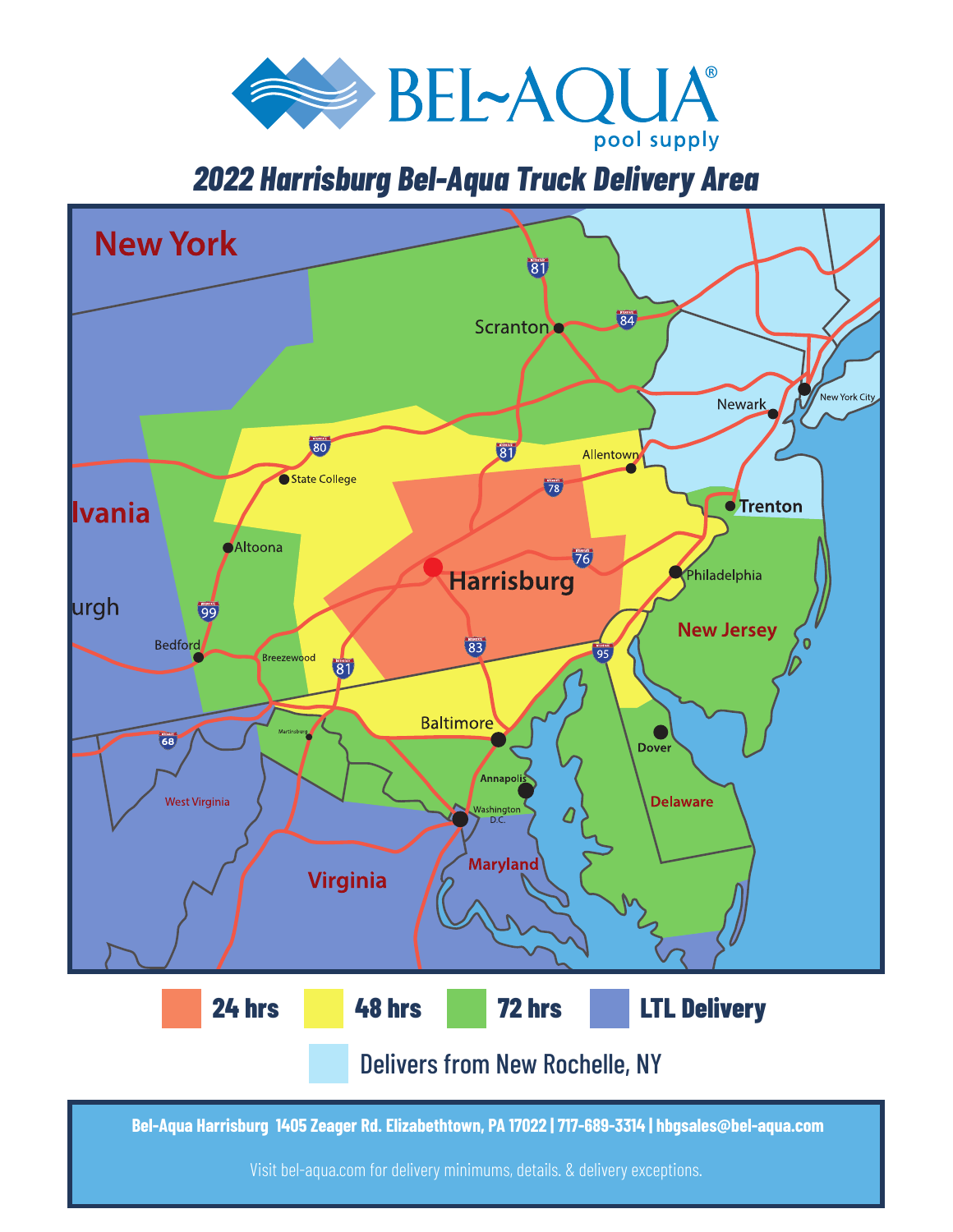

## *2022 Harrisburg Bel-Aqua Truck Delivery Area*



 **Bel-Aqua Harrisburg 1405 Zeager Rd. Elizabethtown, PA 17022 | 717-689-3314 | hbgsales@bel-aqua.com**

Visit bel-aqua.com for delivery minimums, details. & delivery exceptions.